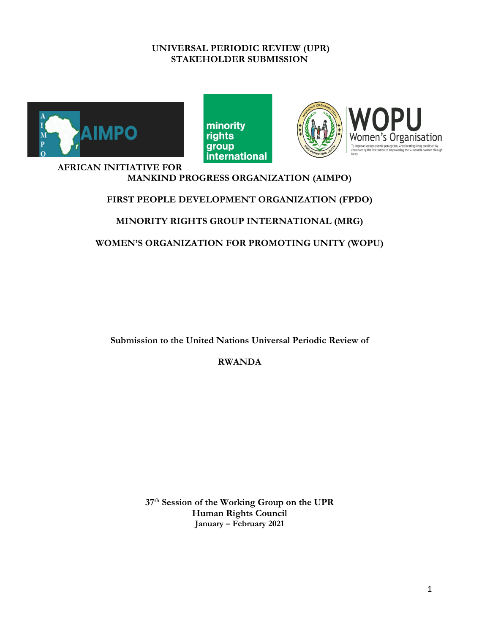# **UNIVERSAL PERIODIC REVIEW (UPR) STAKEHOLDER SUBMISSION**







### **AFRICAN INITIATIVE FOR MANKIND PROGRESS ORGANIZATION (AIMPO)**

# **FIRST PEOPLE DEVELOPMENT ORGANIZATION (FPDO)**

# **MINORITY RIGHTS GROUP INTERNATIONAL (MRG)**

**WOMEN'S ORGANIZATION FOR PROMOTING UNITY (WOPU)**

**Submission to the United Nations Universal Periodic Review of**

**RWANDA**

**37th Session of the Working Group on the UPR Human Rights Council January – February 2021**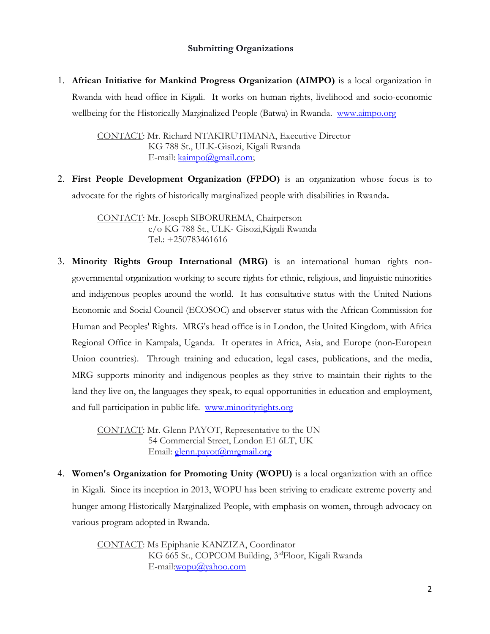# **Submitting Organizations**

1. **African Initiative for Mankind Progress Organization (AIMPO)** is <sup>a</sup> local organization in Rwanda with head office in Kigali. It works on human rights, livelihood and socio-economic wellbeing for the Historically Marginalized People (Batwa) in Rwanda. [www.aimpo.org](http://www.aimpo.org)

> CONTACT: Mr. Richard NTAKIRUTIMANA, Executive Director KG 788 St., ULK-Gisozi, Kigali Rwanda E-mail: [kaimpo@gmail.com](mailto:kaimpo@gmail.com);

2. **First People Development Organization (FPDO)** is an organization whose focus is to advocate for the rights of historically marginalized people with disabilities in Rwanda**.**

> CONTACT: Mr. Joseph SIBORUREMA, Chairperson c/o KG <sup>788</sup> St., ULK- Gisozi,Kigali Rwanda Tel.: +250783461616

3. **Minority Rights Group International (MRG)** is an international human rights nongovernmental organization working to secure rights for ethnic, religious, and linguistic minorities and indigenous peoples around the world. It has consultative status with the United Nations Economic and Social Council (ECOSOC) and observer status with the African Commission for Human and Peoples' Rights. MRG's head office is in London, the United Kingdom, with Africa Regional Office in Kampala, Uganda. It operates in Africa, Asia, and Europe (non-European Union countries). Through training and education, legal cases, publications, and the media, MRG supports minority and indigenous peoples as they strive to maintain their rights to the land they live on, the languages they speak, to equal opportunities in education and employment, and full participation in public life. [www.minorityrights.org](http://www.minorityrights.org)

> CONTACT: Mr. Glenn PAYOT, Representative to the UN 54 Commercial Street, London E1 6LT, UK Email: [glenn.payot@mrgmail.org](mailto:glenn.payot@mrgmail.org)

4. **Women's Organization for Promoting Unity (WOPU)** is <sup>a</sup> local organization with an office in Kigali. Since its inception in 2013, WOPU has been striving to eradicate extreme poverty and hunger among Historically Marginalized People, with emphasis on women, through advocacy on various program adopted in Rwanda.

> CONTACT: Ms Epiphanie KANZIZA, Coordinator KG <sup>665</sup> St., COPCOM Building, <sup>3</sup>rd Floor, Kigali Rwanda E-mail:[wopu@yahoo.com](mailto:wopu@yahoo.com)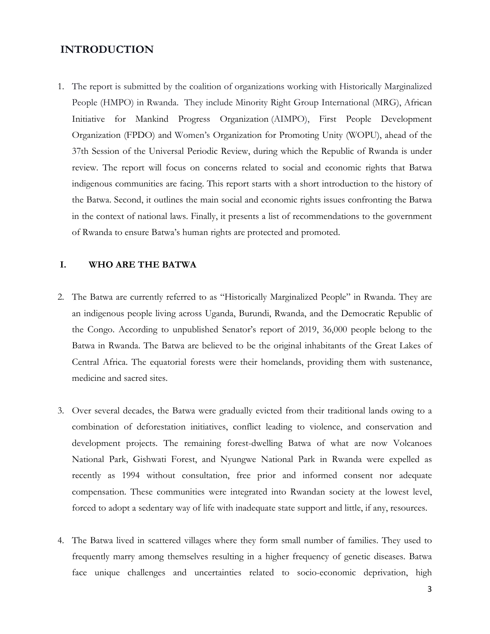# **INTRODUCTION**

1. The report is submitted by the coalition of organizations working with Historically Marginalized People (HMPO) in Rwanda. They include Minority Right Group International (MRG), [African](https://www.facebook.com/aimpo.org/) Initiative for Mankind Progress [Organization](https://www.facebook.com/aimpo.org/) (AIMPO), First People Development Organization (FPDO) and Women'<sup>s</sup> Organization for Promoting Unity (WOPU), ahead of the 37th Session of the Universal Periodic Review, during which the Republic of Rwanda is under review. The report will focus on concerns related to social and economic rights that Batwa indigenous communities are facing. This report starts with <sup>a</sup> short introduction to the history of the Batwa. Second, it outlines the main social and economic rights issues confronting the Batwa in the context of national laws. Finally, it presents <sup>a</sup> list of recommendations to the government of Rwanda to ensure Batwa'<sup>s</sup> human rights are protected and promoted.

## **I. WHO ARE THE BATWA**

- 2. The Batwa are currently referred to as "Historically Marginalized People" in Rwanda. They are an indigenous people living across Uganda, Burundi, Rwanda, and the Democratic Republic of the Congo. According to unpublished Senator'<sup>s</sup> report of 2019, 36,000 people belong to the Batwa in Rwanda. The Batwa are believed to be the original inhabitants of the Great Lakes of Central Africa. The equatorial forests were their homelands, providing them with sustenance, medicine and sacred sites.
- 3. Over several decades, the Batwa were gradually evicted from their traditional lands owing to <sup>a</sup> combination of deforestation initiatives, conflict leading to violence, and conservation and development projects. The remaining forest-dwelling Batwa of what are now Volcanoes National Park, Gishwati Forest, and Nyungwe National Park in Rwanda were expelled as recently as 1994 without consultation, free prior and informed consent nor adequate compensation. These communities were integrated into Rwandan society at the lowest level, forced to adopt <sup>a</sup> sedentary way of life with inadequate state support and little, if any, resources.
- 4. The Batwa lived in scattered villages where they form small number of families. They used to frequently marry among themselves resulting in <sup>a</sup> higher frequency of genetic diseases. Batwa face unique challenges and uncertainties related to socio-economic deprivation, high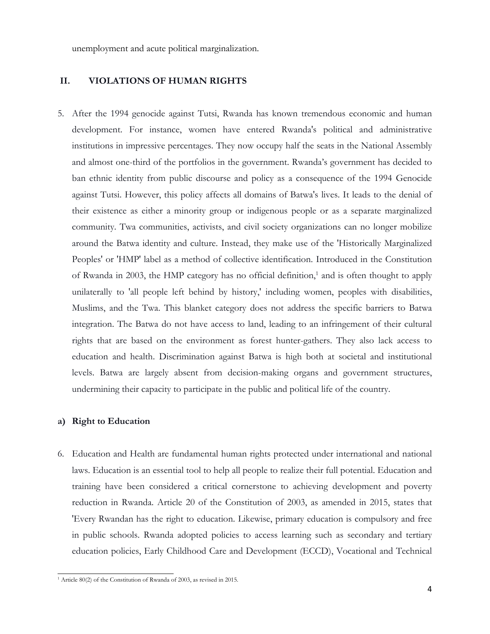unemployment and acute political marginalization.

## **II. VIOLATIONS OF HUMAN RIGHTS**

5. After the 1994 genocide against Tutsi, Rwanda has known tremendous economic and human development. For instance, women have entered Rwanda's political and administrative institutions in impressive percentages. They now occupy half the seats in the National Assembly and almost one-third of the portfolios in the government. Rwanda'<sup>s</sup> government has decided to ban ethnic identity from public discourse and policy as <sup>a</sup> consequence of the 1994 Genocide against Tutsi. However, this policy affects all domains of Batwa's lives. It leads to the denial of their existence as either <sup>a</sup> minority group or indigenous people or as <sup>a</sup> separate marginalized community. Twa communities, activists, and civil society organizations can no longer mobilize around the Batwa identity and culture. Instead, they make use of the 'Historically Marginalized Peoples' or 'HMP' label as <sup>a</sup> method of collective identification. Introduced in the Constitution of Rwanda in 2003, the HMP category has no official definition, 1 and is often thought to apply unilaterally to 'all people left behind by history,' including women, peoples with disabilities, Muslims, and the Twa. This blanket category does not address the specific barriers to Batwa integration. The Batwa do not have access to land, leading to an infringement of their cultural rights that are based on the environment as forest hunter-gathers. They also lack access to education and health. Discrimination against Batwa is high both at societal and institutional levels. Batwa are largely absent from decision-making organs and government structures, undermining their capacity to participate in the public and political life of the country.

#### **a) Right to Education**

6. Education and Health are fundamental human rights protected under international and national laws. Education is an essential tool to help all people to realize their full potential. Education and training have been considered <sup>a</sup> critical cornerstone to achieving development and poverty reduction in Rwanda. Article 20 of the Constitution of 2003, as amended in 2015, states that 'Every Rwandan has the right to education. Likewise, primary education is compulsory and free in public schools. Rwanda adopted policies to access learning such as secondary and tertiary education policies, Early Childhood Care and Development (ECCD), Vocational and Technical

<sup>1</sup> Article 80(2) of the Constitution of Rwanda of 2003, as revised in 2015.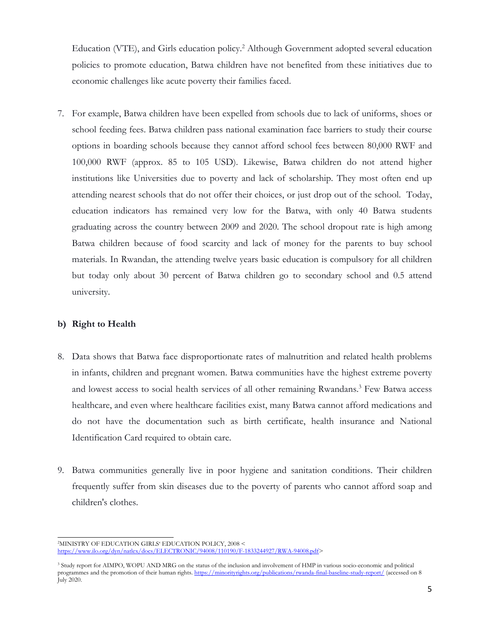Education (VTE), and Girls education policy. 2 Although Government adopted several education policies to promote education, Batwa children have not benefited from these initiatives due to economic challenges like acute poverty their families faced.

7. For example, Batwa children have been expelled from schools due to lack of uniforms, shoes or school feeding fees. Batwa children pass national examination face barriers to study their course options in boarding schools because they cannot afford school fees between 80,000 RWF and 100,000 RWF (approx. 85 to 105 USD). Likewise, Batwa children do not attend higher institutions like Universities due to poverty and lack of scholarship. They most often end up attending nearest schools that do not offer their choices, or just drop out of the school. Today, education indicators has remained very low for the Batwa, with only 40 Batwa students graduating across the country between 2009 and 2020. The school dropout rate is high among Batwa children because of food scarcity and lack of money for the parents to buy school materials. In Rwandan, the attending twelve years basic education is compulsory for all children but today only about 30 percent of Batwa children go to secondary school and 0.5 attend university.

### **b) Right to Health**

- 8. Data shows that Batwa face disproportionate rates of malnutrition and related health problems in infants, children and pregnant women. Batwa communities have the highest extreme poverty and lowest access to social health services of all other remaining Rwandans. 3 Few Batwa access healthcare, and even where healthcare facilities exist, many Batwa cannot afford medications and do not have the documentation such as birth certificate, health insurance and National Identification Card required to obtain care.
- 9. Batwa communities generally live in poor hygiene and sanitation conditions. Their children frequently suffer from skin diseases due to the poverty of parents who cannot afford soap and children's clothes.

<sup>2</sup>MINISTRY OF EDUCATION GIRLS' EDUCATION POLICY, 2008 <sup>&</sup>lt; <https://www.ilo.org/dyn/natlex/docs/ELECTRONIC/94008/110190/F-1833244927/RWA-94008.pdf>>

<sup>&</sup>lt;sup>3</sup> Study report for AIMPO, WOPU AND MRG on the status of the inclusion and involvement of HMP in various socio-economic and political programmes and the promotion of their human rights. <https://minorityrights.org/publications/rwanda-final-baseline-study-report/> (accessed on <sup>8</sup> July 2020.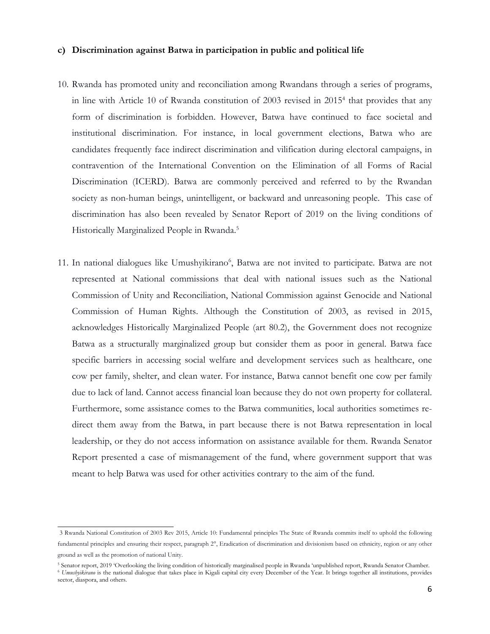#### **c) Discrimination against Batwa in participation in public and political life**

- 10. Rwanda has promoted unity and reconciliation among Rwandans through <sup>a</sup> series of programs, in line with Article 10 of Rwanda constitution of 2003 revised in 2015<sup>4</sup> that provides that any form of discrimination is forbidden. However, Batwa have continued to face societal and institutional discrimination. For instance, in local government elections, Batwa who are candidates frequently face indirect discrimination and vilification during electoral campaigns, in contravention of the International Convention on the Elimination of all Forms of Racial Discrimination (ICERD). Batwa are commonly perceived and referred to by the Rwandan society as non-human beings, unintelligent, or backward and unreasoning people. This case of discrimination has also been revealed by Senator Report of 2019 on the living conditions of Historically Marginalized People in Rwanda. 5
- 11. In national dialogues like Umushyikirano<sup>6</sup>, Batwa are not invited to participate. Batwa are not represented at National commissions that deal with national issues such as the National Commission of Unity and Reconciliation, National Commission against Genocide and National Commission of Human Rights. Although the Constitution of 2003, as revised in 2015, acknowledges Historically Marginalized People (art 80.2), the Government does not recognize Batwa as <sup>a</sup> structurally marginalized group but consider them as poor in general. Batwa face specific barriers in accessing social welfare and development services such as healthcare, one cow per family, shelter, and clean water. For instance, Batwa cannot benefit one cow per family due to lack of land. Cannot access financial loan because they do not own property for collateral. Furthermore, some assistance comes to the Batwa communities, local authorities sometimes redirect them away from the Batwa, in part because there is not Batwa representation in local leadership, or they do not access information on assistance available for them. Rwanda Senator Report presented <sup>a</sup> case of mismanagement of the fund, where government support that was meant to help Batwa was used for other activities contrary to the aim of the fund.

<sup>3</sup> Rwanda National Constitution of 2003 Rev 2015, Article 10: Fundamental principles The State of Rwanda commits itself to uphold the following fundamental principles and ensuring their respect, paragrap<sup>h</sup> 2°, Eradication of discrimination and divisionism based on ethnicity, region or any other ground as well as the promotion of national Unity.

<sup>5</sup> Senator report, 2019 'Overlooking the living condition of historically marginalised people in Rwanda 'unpublished report, Rwanda Senator Chamber.

<sup>6</sup> *Umushyikirano* is the national dialogue that takes place in Kigali capital city every December of the Year. It brings together all institutions, provides sector, diaspora, and others.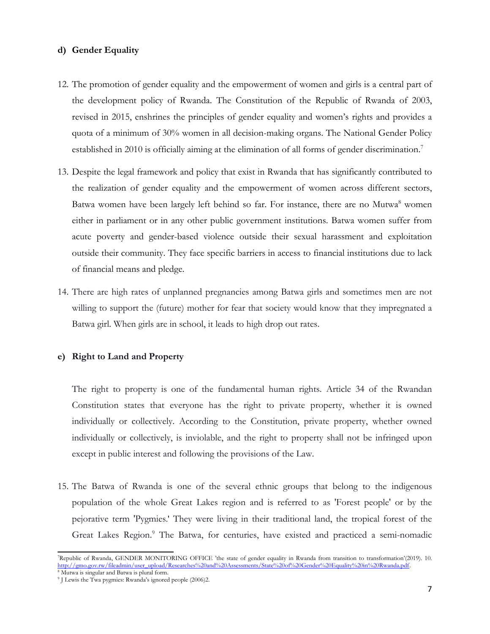### **d) Gender Equality**

- 12. The promotion of gender equality and the empowerment of women and girls is <sup>a</sup> central part of the development policy of Rwanda. The Constitution of the Republic of Rwanda of 2003, revised in 2015, enshrines the principles of gender equality and women'<sup>s</sup> rights and provides <sup>a</sup> quota of <sup>a</sup> minimum of 30% women in all decision-making organs. The National Gender Policy established in 2010 is officially aiming at the elimination of all forms of gender discrimination. 7
- 13. Despite the legal framework and policy that exist in Rwanda that has significantly contributed to the realization of gender equality and the empowerment of women across different sectors, Batwa women have been largely left behind so far. For instance, there are no Mutwa 8 women either in parliament or in any other public government institutions. Batwa women suffer from acute poverty and gender-based violence outside their sexual harassment and exploitation outside their community. They face specific barriers in access to financial institutions due to lack of financial means and pledge.
- 14. There are high rates of unplanned pregnancies among Batwa girls and sometimes men are not willing to support the (future) mother for fear that society would know that they impregnated <sup>a</sup> Batwa girl. When girls are in school, it leads to high drop out rates.

## **e) Right to Land and Property**

The right to property is one of the fundamental human rights. Article 34 of the Rwandan Constitution states that everyone has the right to private property, whether it is owned individually or collectively. According to the Constitution, private property, whether owned individually or collectively, is inviolable, and the right to property shall not be infringed upon except in public interest and following the provisions of the Law.

15. The Batwa of Rwanda is one of the several ethnic groups that belong to the indigenous population of the whole Great Lakes region and is referred to as 'Forest people' or by the pejorative term 'Pygmies.' They were living in their traditional land, the tropical forest of the Great Lakes Region. 9 The Batwa, for centuries, have existed and practiced <sup>a</sup> semi-nomadic

<sup>7</sup> Republic of Rwanda, GENDER MONITORING OFFICE 'the state of gender equality in Rwanda from transition to transformation'(2019). 10. [http://gmo.gov.rw/fileadmin/user\\_upload/Researches%20and%20Assessments/State%20of%20Gender%20Equality%20in%20Rwanda.pdf](http://gmo.gov.rw/fileadmin/user_upload/Researches%20and%20Assessments/State%20of%20Gender%20Equality%20in%20Rwanda.pdf).

<sup>&</sup>lt;sup>9</sup> J Lewis the Twa pygmies: Rwanda's ignored people (2006)2.

<sup>8</sup> Mutwa is singular and Batwa is plural form.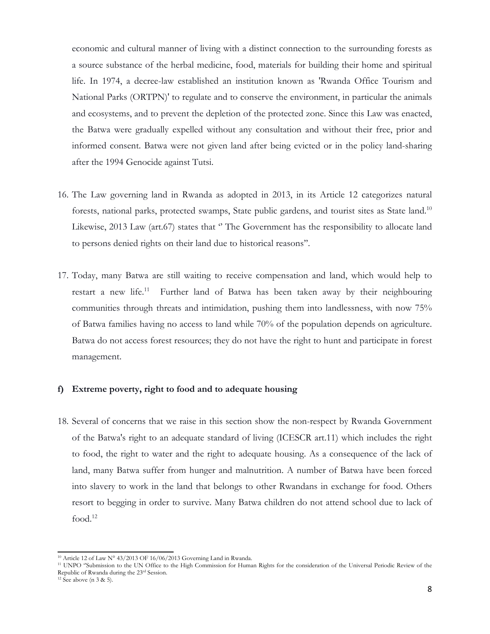economic and cultural manner of living with <sup>a</sup> distinct connection to the surrounding forests as <sup>a</sup> source substance of the herbal medicine, food, materials for building their home and spiritual life. In 1974, <sup>a</sup> decree-law established an institution known as 'Rwanda Office Tourism and National Parks (ORTPN)' to regulate and to conserve the environment, in particular the animals and ecosystems, and to prevent the depletion of the protected zone. Since this Law was enacted, the Batwa were gradually expelled without any consultation and without their free, prior and informed consent. Batwa were not given land after being evicted or in the policy land-sharing after the 1994 Genocide against Tutsi.

- 16. The Law governing land in Rwanda as adopted in 2013, in its Article <sup>12</sup> categorizes natural forests, national parks, protected swamps, State public gardens, and tourist sites as State land. 10 Likewise, 2013 Law (art.67) states that "The Government has the responsibility to allocate land to persons denied rights on their land due to historical reasons''.
- 17. Today, many Batwa are still waiting to receive compensation and land, which would help to restart a new life.<sup>11</sup> Further land of Batwa has been taken away by their neighbouring communities through threats and intimidation, pushing them into landlessness, with now 75% of Batwa families having no access to land while 70% of the population depends on agriculture. Batwa do not access forest resources; they do not have the right to hunt and participate in forest management.

#### **f) Extreme poverty, right to food and to adequate housing**

18. Several of concerns that we raise in this section show the non-respect by Rwanda Government of the Batwa's right to an adequate standard of living (ICESCR art.11) which includes the right to food, the right to water and the right to adequate housing. As <sup>a</sup> consequence of the lack of land, many Batwa suffer from hunger and malnutrition. A number of Batwa have been forced into slavery to work in the land that belongs to other Rwandans in exchange for food. Others resort to begging in order to survive. Many Batwa children do not attend school due to lack of food. 12

 $10$  Article 12 of Law N° 43/2013 OF 16/06/2013 Governing Land in Rwanda.

<sup>&</sup>lt;sup>11</sup> UNPO "Submission to the UN Office to the High Commission for Human Rights for the consideration of the Universal Periodic Review of the Republic of Rwanda during the <sup>23</sup>rd Session.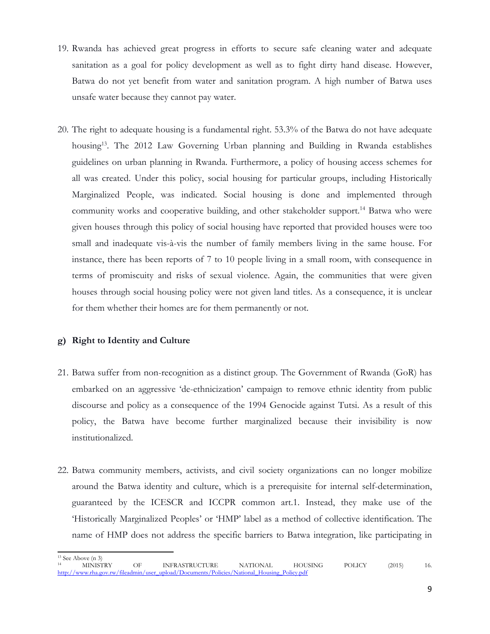- 19. Rwanda has achieved great progress in efforts to secure safe cleaning water and adequate sanitation as <sup>a</sup> goal for policy development as well as to fight dirty hand disease. However, Batwa do not ye<sup>t</sup> benefit from water and sanitation program. A high number of Batwa uses unsafe water because they cannot pay water.
- 20. The right to adequate housing is <sup>a</sup> fundamental right. 53.3% of the Batwa do not have adequate housing<sup>13</sup> . The 2012 Law Governing Urban planning and Building in Rwanda establishes guidelines on urban planning in Rwanda. Furthermore, <sup>a</sup> policy of housing access schemes for all was created. Under this policy, social housing for particular groups, including Historically Marginalized People, was indicated. Social housing is done and implemented through community works and cooperative building, and other stakeholder support. 14 Batwa who were given houses through this policy of social housing have reported that provided houses were too small and inadequate vis-à-vis the number of family members living in the same house. For instance, there has been reports of <sup>7</sup> to 10 people living in <sup>a</sup> small room, with consequence in terms of promiscuity and risks of sexual violence. Again, the communities that were given houses through social housing policy were not given land titles. As <sup>a</sup> consequence, it is unclear for them whether their homes are for them permanently or not.

### **g) Right to Identity and Culture**

- 21. Batwa suffer from non-recognition as <sup>a</sup> distinct group. The Government of Rwanda (GoR) has embarked on an aggressive 'de-ethnicization' campaign to remove ethnic identity from public discourse and policy as <sup>a</sup> consequence of the 1994 Genocide against Tutsi. As <sup>a</sup> result of this policy, the Batwa have become further marginalized because their invisibility is now institutionalized.
- 22. Batwa community members, activists, and civil society organizations can no longer mobilize around the Batwa identity and culture, which is <sup>a</sup> prerequisite for internal self-determination, guaranteed by the ICESCR and ICCPR common art.1. Instead, they make use of the 'Historically Marginalized Peoples' or 'HMP' label as <sup>a</sup> method of collective identification. The name of HMP does not address the specific barriers to Batwa integration, like participating in

<sup>13</sup> See Above (n 3) <sup>14</sup> MINISTRY OF INFRASTRUCTURE NATIONAL HOUSING POLICY (2015) 16. [http://www.rha.gov.rw/fileadmin/user\\_upload/Documents/Policies/National\\_Housing\\_Policy.pdf](http://www.rha.gov.rw/fileadmin/user_upload/Documents/Policies/National_Housing_Policy.pdf)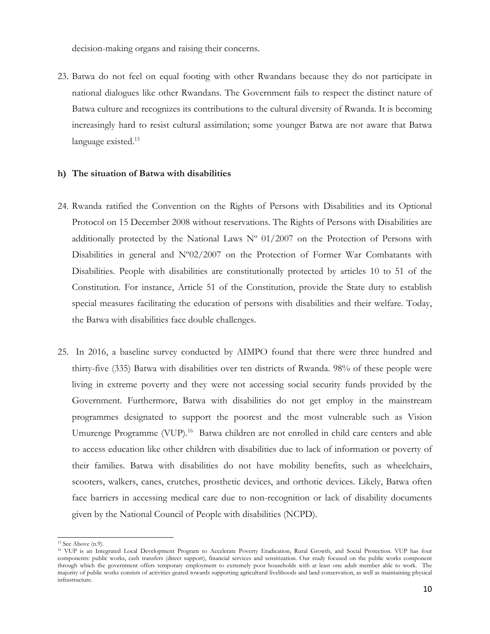decision-making organs and raising their concerns.

23. Batwa do not feel on equal footing with other Rwandans because they do not participate in national dialogues like other Rwandans. The Government fails to respect the distinct nature of Batwa culture and recognizes its contributions to the cultural diversity of Rwanda. It is becoming increasingly hard to resist cultural assimilation; some younger Batwa are not aware that Batwa language existed. 15

#### **h) The situation of Batwa with disabilities**

- 24. Rwanda ratified the Convention on the Rights of Persons with Disabilities and its Optional Protocol on 15 December 2008 without reservations. The Rights of Persons with Disabilities are additionally protected by the National Laws  $N^{\circ}$  01/2007 on the Protection of Persons with Disabilities in general and N°02/2007 on the Protection of Former War Combatants with Disabilities. People with disabilities are constitutionally protected by <sup>a</sup>rticles 10 to 51 of the Constitution. For instance, Article 51 of the Constitution, provide the State duty to establish special measures facilitating the education of persons with disabilities and their welfare. Today, the Batwa with disabilities face double challenges.
- 25. In 2016, <sup>a</sup> baseline survey conducted by AIMPO found that there were three hundred and thirty-five (335) Batwa with disabilities over ten districts of Rwanda. 98% of these people were living in extreme poverty and they were not accessing social security funds provided by the Government. Furthermore, Batwa with disabilities do not ge<sup>t</sup> employ in the mainstream programmes designated to support the poorest and the most vulnerable such as Vision Umurenge Programme (VUP).<sup>16</sup> Batwa children are not enrolled in child care centers and able to access education like other children with disabilities due to lack of information or poverty of their families. Batwa with disabilities do not have mobility benefits, such as wheelchairs, scooters, walkers, canes, crutches, prosthetic devices, and orthotic devices. Likely, Batwa often face barriers in accessing medical care due to non-recognition or lack of disability documents given by the National Council of People with disabilities (NCPD).

<sup>15</sup> See Above (n.9).

<sup>16</sup> VUP is an Integrated Local Development Program to Accelerate Poverty Eradication, Rural Growth, and Social Protection. VUP has four components: public works, cash transfers (direct support), financial services and sensitization. Our study focused on the public works component through which the government offers temporary employment to extremely poor households with at least one adult member able to work. The majority of public works consists of activities geared towards supporting agricultural livelihoods and land conservation, as well as maintaining physical infrastructure.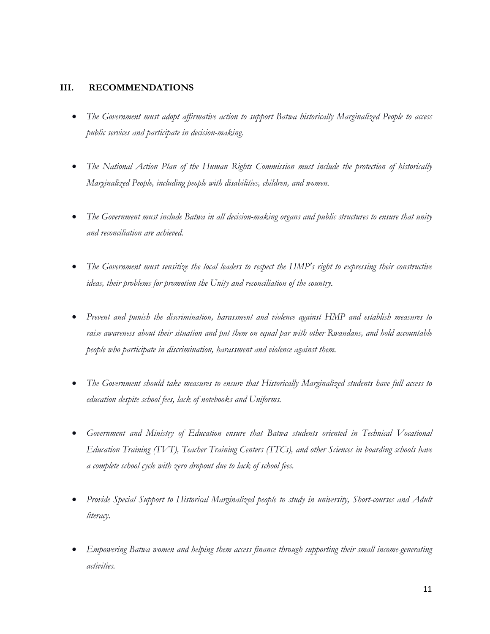## **III. RECOMMENDATIONS**

- $\bullet$  *The Government must adopt affirmative action to support Batwa historically Marginalized People to access public services and participate in decision-making.*
- $\bullet$  *The National Action Plan of the Human Rights Commission must include the protection of historically Marginalized People, including people with disabilities, children, and women.*
- $\bullet$ The Government must include Batwa in all decision-making organs and public structures to ensure that unity *and reconciliation are achieved.*
- $\bullet$  *The Government must sensitize the local leaders to respect the HMP's right to expressing their constructive ideas, their problems for promotion the Unity and reconciliation of the country.*
- $\bullet$  *Prevent and punish the discrimination, harassment and violence against HMP and establish measures to* raise awareness about their situation and put them on equal par with other Rwandans, and hold accountable *people who participate in discrimination, harassment and violence against them.*
- $\bullet$  *The Government should take measures to ensure that Historically Marginalized students have full access to education despite school fees, lack of notebooks and Uniforms.*
- $\bullet$  *Government and Ministry of Education ensure that Batwa students oriented in Technical Vocational Education Training (TVT), Teacher Training Centers (TTCs), and other Sciences in boarding schools have <sup>a</sup> complete school cycle with zero dropout due to lack of school fees.*
- $\bullet$  *Provide Special Support to Historical Marginalized people to study in university, Short-courses and Adult literacy.*
- 0 *Empowering Batwa women and helping them access finance through supporting their small income-generating activities.*